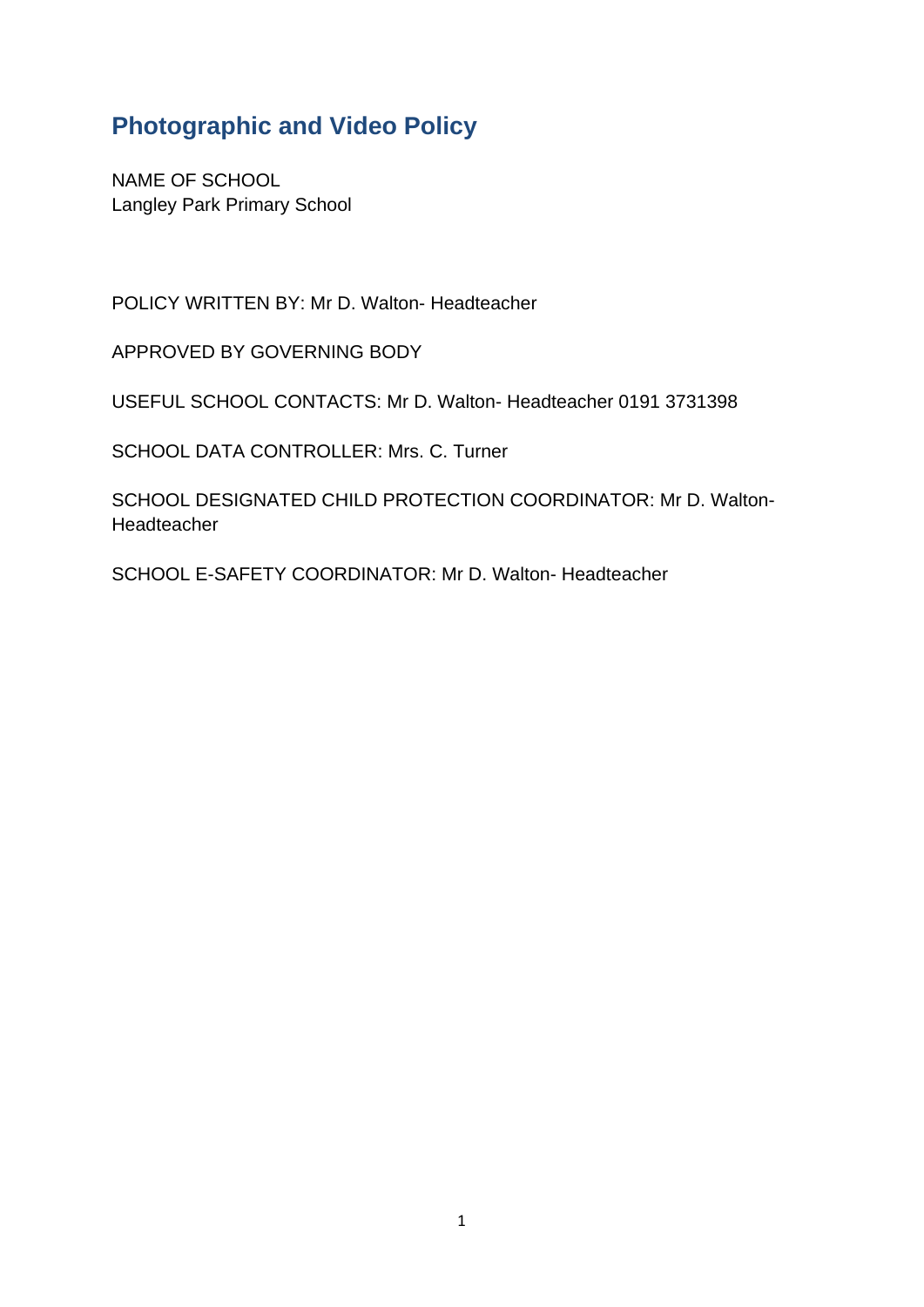## **Photographic and Video Policy**

NAME OF SCHOOL Langley Park Primary School

POLICY WRITTEN BY: Mr D. Walton- Headteacher

APPROVED BY GOVERNING BODY

USEFUL SCHOOL CONTACTS: Mr D. Walton- Headteacher 0191 3731398

SCHOOL DATA CONTROLLER: Mrs. C. Turner

SCHOOL DESIGNATED CHILD PROTECTION COORDINATOR: Mr D. Walton-Headteacher

SCHOOL E-SAFETY COORDINATOR: Mr D. Walton- Headteacher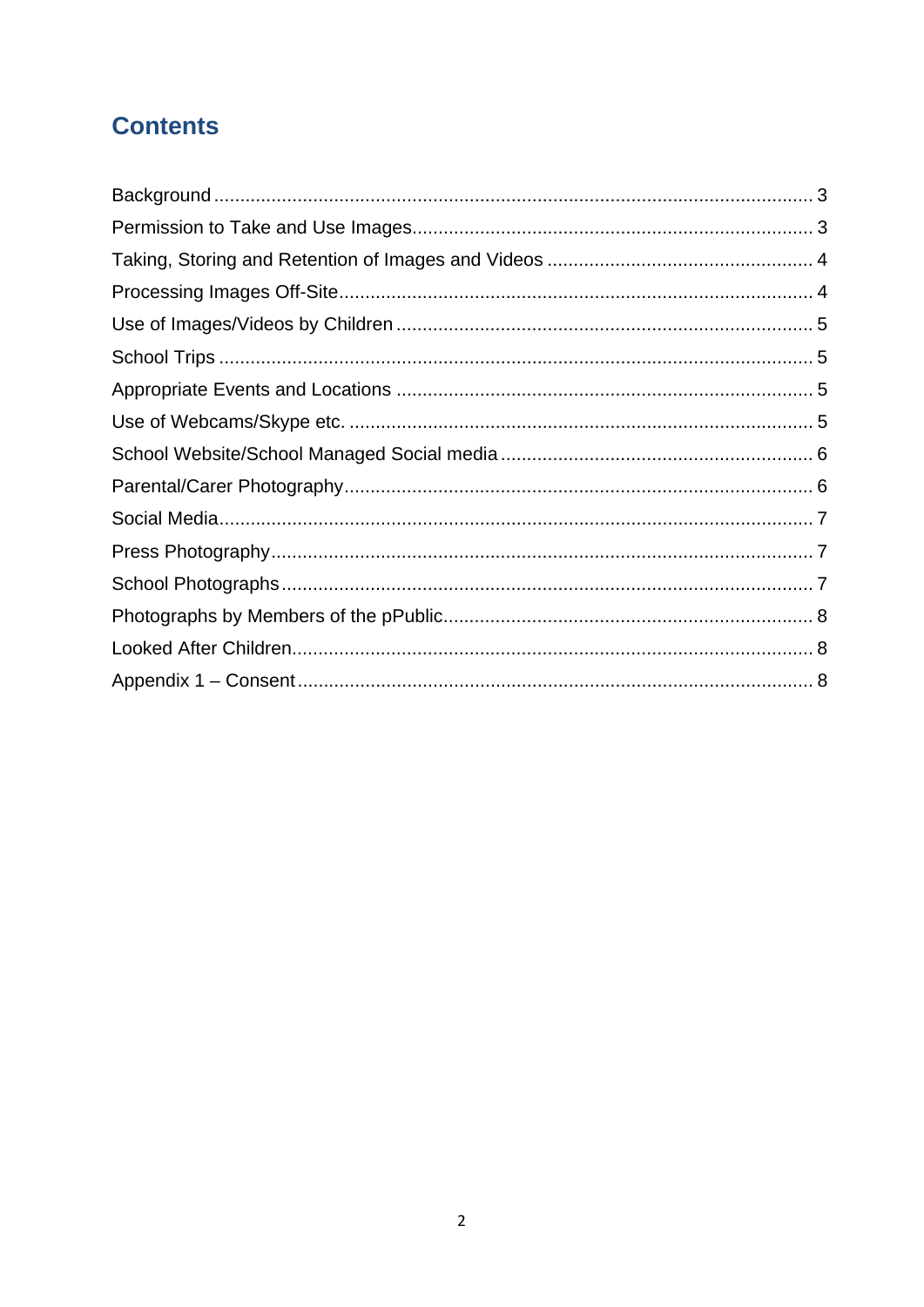# **Contents**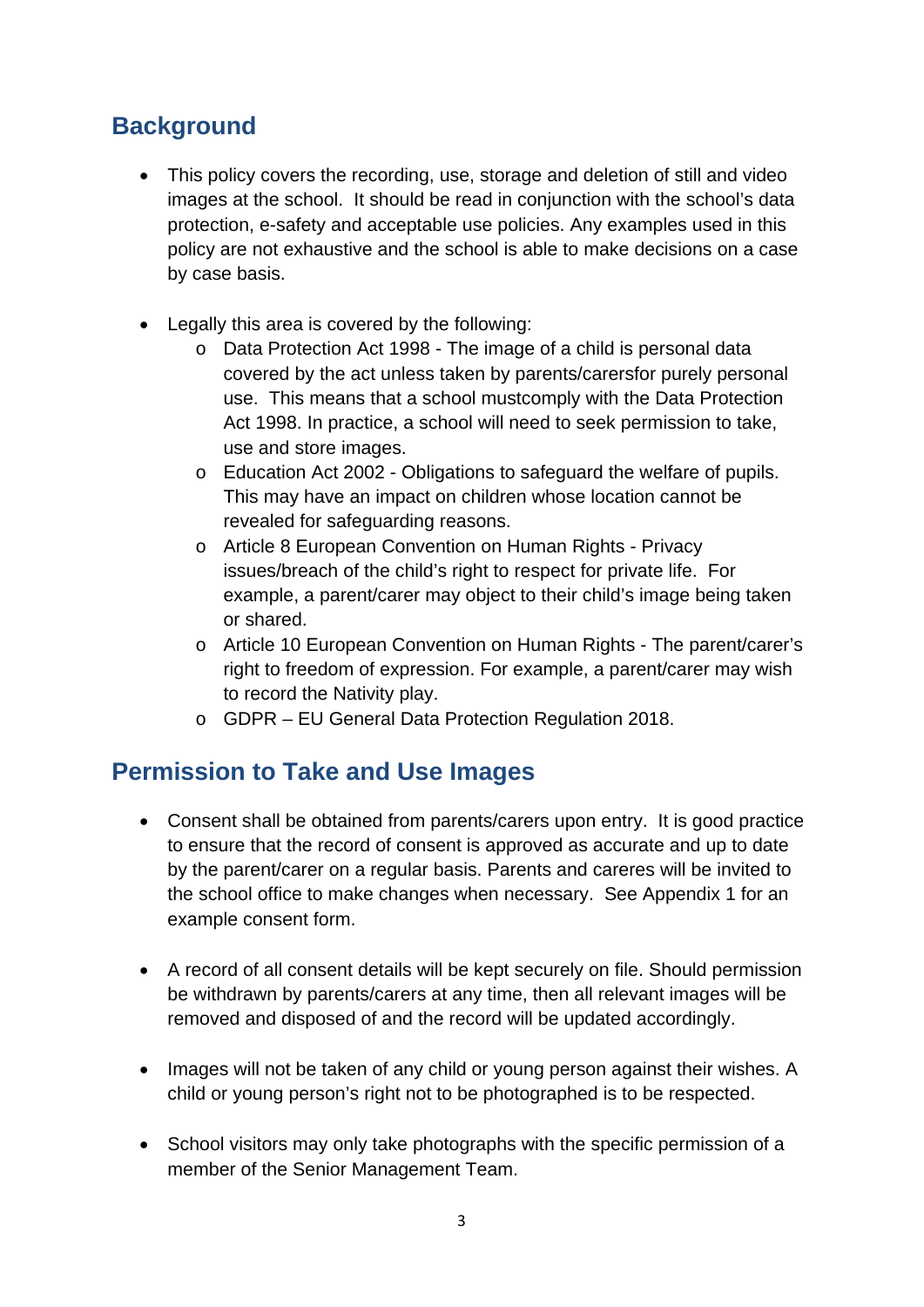# **Background**

- This policy covers the recording, use, storage and deletion of still and video images at the school. It should be read in conjunction with the school's data protection, e-safety and acceptable use policies. Any examples used in this policy are not exhaustive and the school is able to make decisions on a case by case basis.
- Legally this area is covered by the following:
	- o Data Protection Act 1998 The image of a child is personal data covered by the act unless taken by parents/carersfor purely personal use. This means that a school mustcomply with the Data Protection Act 1998. In practice, a school will need to seek permission to take, use and store images.
	- o Education Act 2002 Obligations to safeguard the welfare of pupils. This may have an impact on children whose location cannot be revealed for safeguarding reasons.
	- o Article 8 European Convention on Human Rights Privacy issues/breach of the child's right to respect for private life. For example, a parent/carer may object to their child's image being taken or shared.
	- o Article 10 European Convention on Human Rights The parent/carer's right to freedom of expression. For example, a parent/carer may wish to record the Nativity play.
	- o GDPR EU General Data Protection Regulation 2018.

## **Permission to Take and Use Images**

- Consent shall be obtained from parents/carers upon entry. It is good practice to ensure that the record of consent is approved as accurate and up to date by the parent/carer on a regular basis. Parents and careres will be invited to the school office to make changes when necessary. See Appendix 1 for an example consent form.
- A record of all consent details will be kept securely on file. Should permission be withdrawn by parents/carers at any time, then all relevant images will be removed and disposed of and the record will be updated accordingly.
- Images will not be taken of any child or young person against their wishes. A child or young person's right not to be photographed is to be respected.
- School visitors may only take photographs with the specific permission of a member of the Senior Management Team.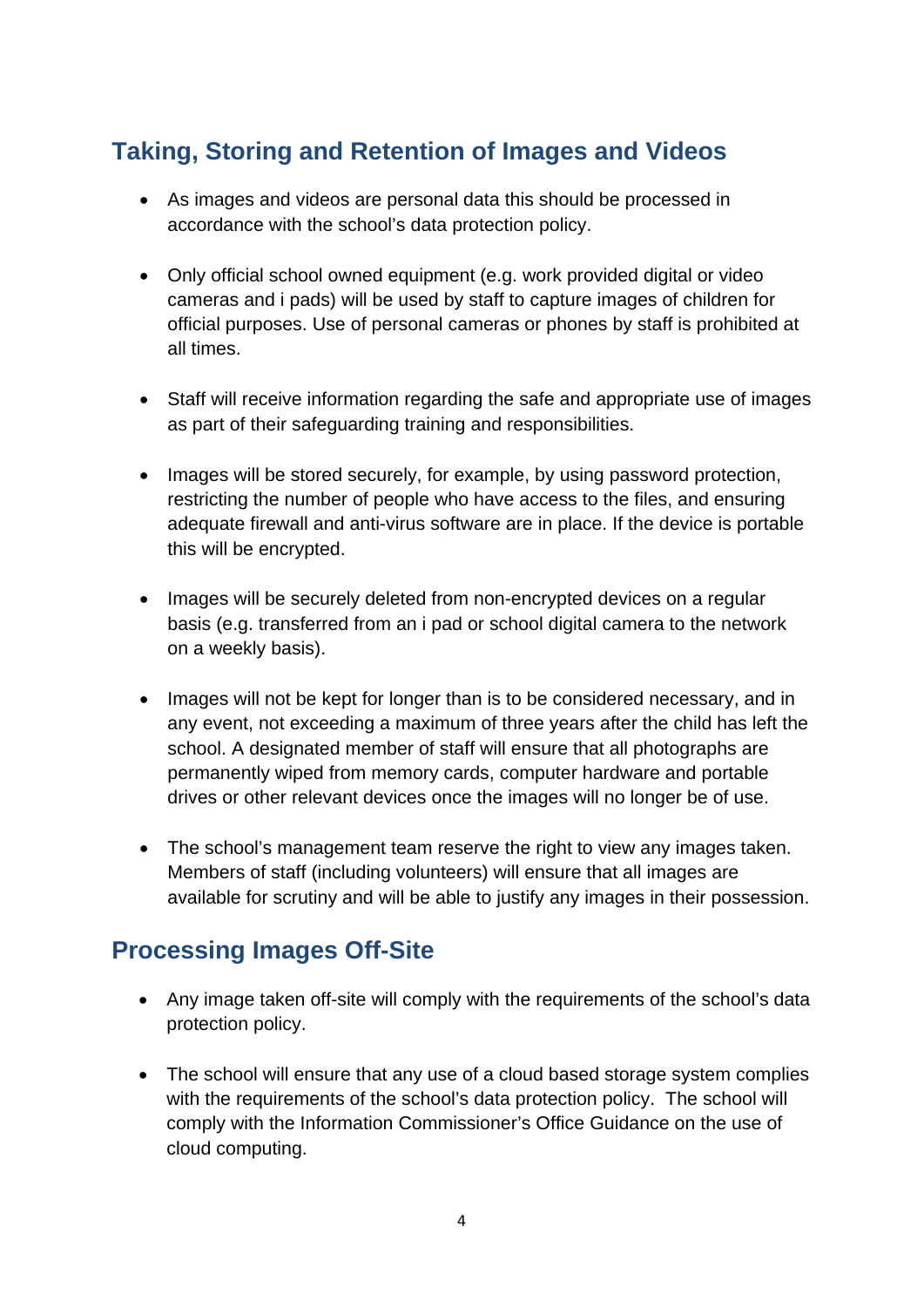# **Taking, Storing and Retention of Images and Videos**

- As images and videos are personal data this should be processed in accordance with the school's data protection policy.
- Only official school owned equipment (e.g. work provided digital or video cameras and i pads) will be used by staff to capture images of children for official purposes. Use of personal cameras or phones by staff is prohibited at all times.
- Staff will receive information regarding the safe and appropriate use of images as part of their safeguarding training and responsibilities.
- Images will be stored securely, for example, by using password protection, restricting the number of people who have access to the files, and ensuring adequate firewall and anti-virus software are in place. If the device is portable this will be encrypted.
- Images will be securely deleted from non-encrypted devices on a regular basis (e.g. transferred from an i pad or school digital camera to the network on a weekly basis).
- Images will not be kept for longer than is to be considered necessary, and in any event, not exceeding a maximum of three years after the child has left the school. A designated member of staff will ensure that all photographs are permanently wiped from memory cards, computer hardware and portable drives or other relevant devices once the images will no longer be of use.
- The school's management team reserve the right to view any images taken. Members of staff (including volunteers) will ensure that all images are available for scrutiny and will be able to justify any images in their possession.

## **Processing Images Off-Site**

- Any image taken off-site will comply with the requirements of the school's data protection policy.
- The school will ensure that any use of a cloud based storage system complies with the requirements of the school's data protection policy. The school will comply with the Information Commissioner's Office Guidance on the use of cloud computing.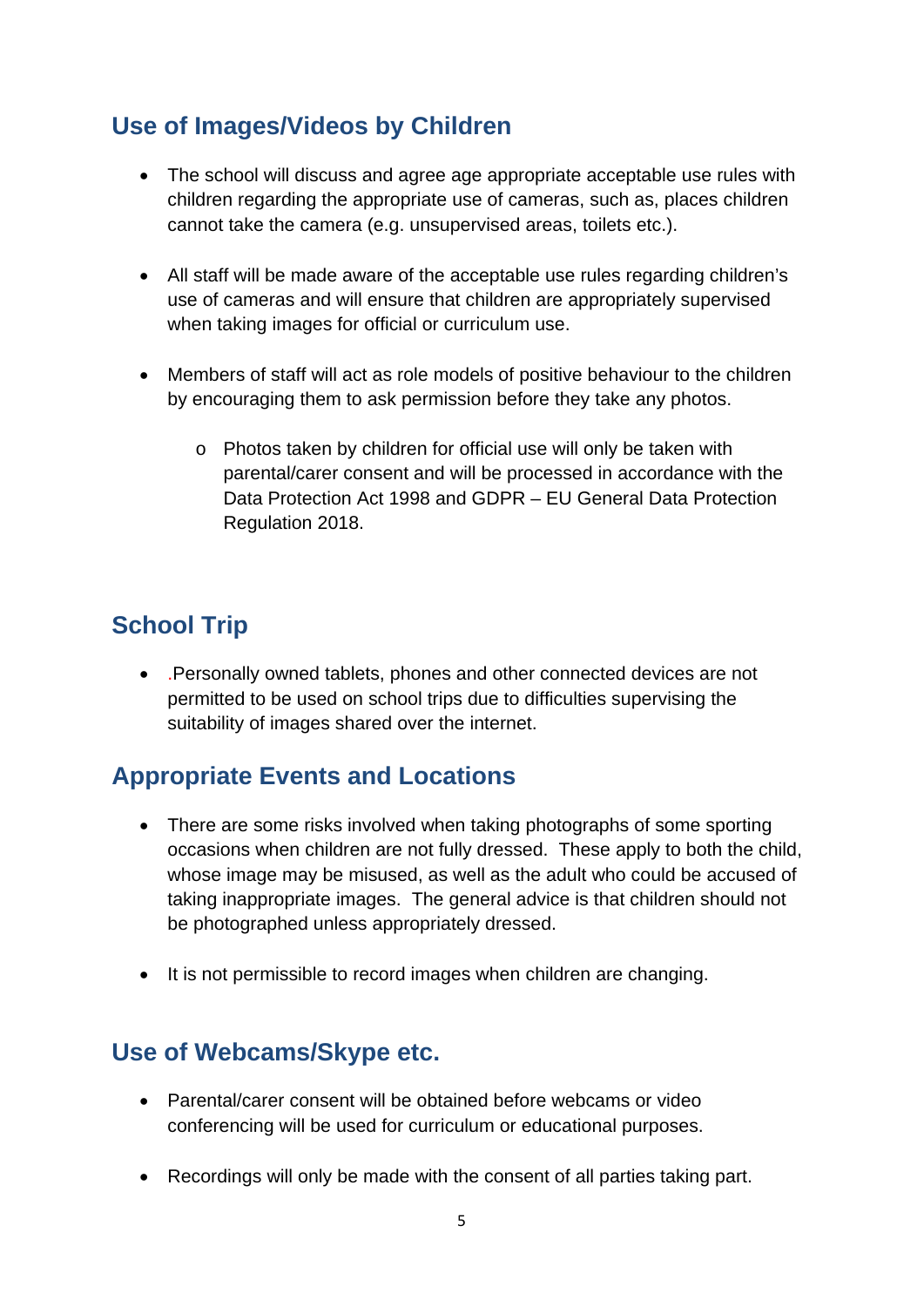# **Use of Images/Videos by Children**

- The school will discuss and agree age appropriate acceptable use rules with children regarding the appropriate use of cameras, such as, places children cannot take the camera (e.g. unsupervised areas, toilets etc.).
- All staff will be made aware of the acceptable use rules regarding children's use of cameras and will ensure that children are appropriately supervised when taking images for official or curriculum use.
- Members of staff will act as role models of positive behaviour to the children by encouraging them to ask permission before they take any photos.
	- o Photos taken by children for official use will only be taken with parental/carer consent and will be processed in accordance with the Data Protection Act 1998 and GDPR – EU General Data Protection Regulation 2018.

# **School Trip**

 .Personally owned tablets, phones and other connected devices are not permitted to be used on school trips due to difficulties supervising the suitability of images shared over the internet.

## **Appropriate Events and Locations**

- There are some risks involved when taking photographs of some sporting occasions when children are not fully dressed. These apply to both the child, whose image may be misused, as well as the adult who could be accused of taking inappropriate images. The general advice is that children should not be photographed unless appropriately dressed.
- It is not permissible to record images when children are changing.

#### **Use of Webcams/Skype etc.**

- Parental/carer consent will be obtained before webcams or video conferencing will be used for curriculum or educational purposes.
- Recordings will only be made with the consent of all parties taking part.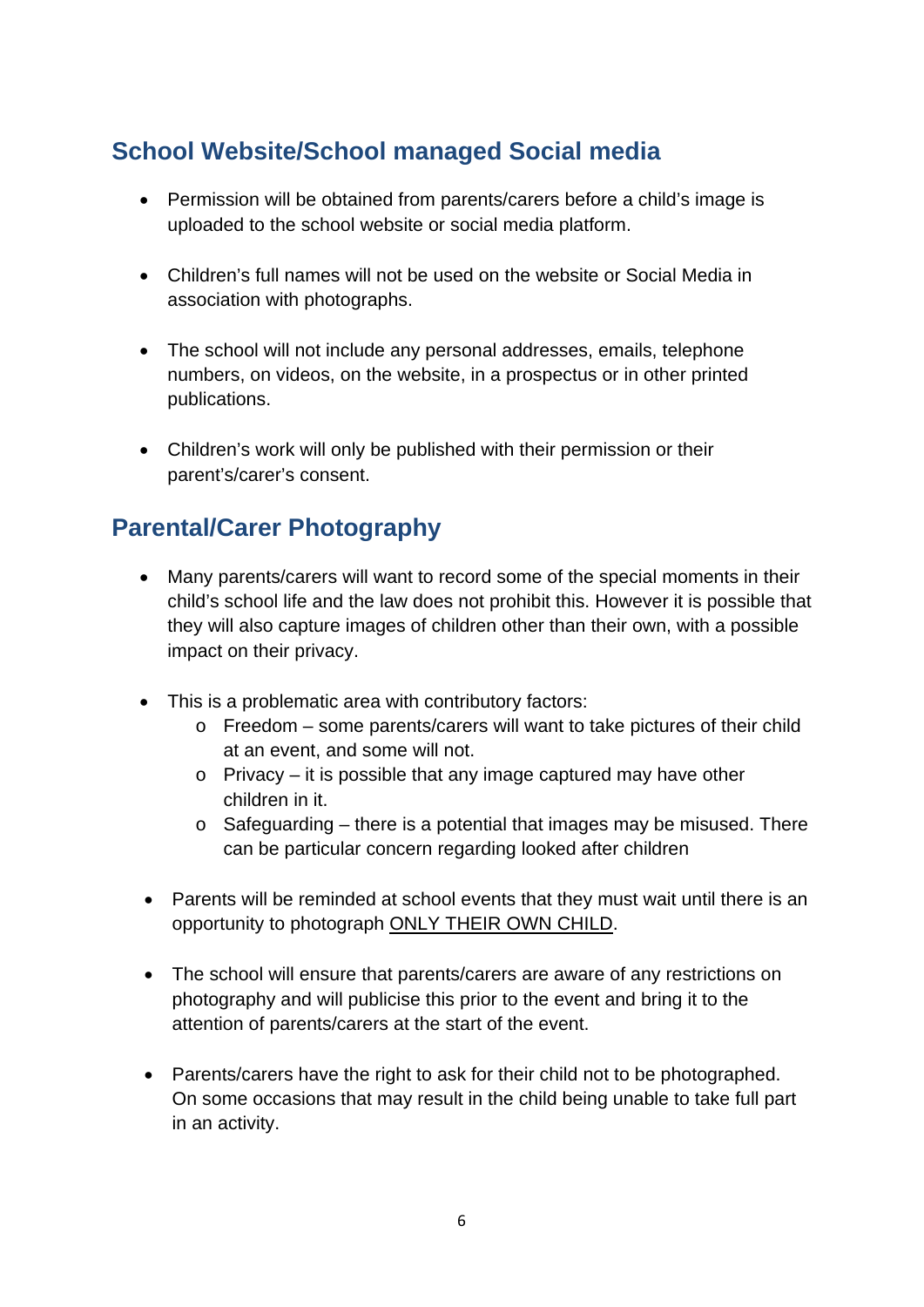# **School Website/School managed Social media**

- Permission will be obtained from parents/carers before a child's image is uploaded to the school website or social media platform.
- Children's full names will not be used on the website or Social Media in association with photographs.
- The school will not include any personal addresses, emails, telephone numbers, on videos, on the website, in a prospectus or in other printed publications.
- Children's work will only be published with their permission or their parent's/carer's consent.

# **Parental/Carer Photography**

- Many parents/carers will want to record some of the special moments in their child's school life and the law does not prohibit this. However it is possible that they will also capture images of children other than their own, with a possible impact on their privacy.
- This is a problematic area with contributory factors:
	- o Freedom some parents/carers will want to take pictures of their child at an event, and some will not.
	- o Privacy it is possible that any image captured may have other children in it.
	- o Safeguarding there is a potential that images may be misused. There can be particular concern regarding looked after children
- Parents will be reminded at school events that they must wait until there is an opportunity to photograph ONLY THEIR OWN CHILD.
- The school will ensure that parents/carers are aware of any restrictions on photography and will publicise this prior to the event and bring it to the attention of parents/carers at the start of the event.
- Parents/carers have the right to ask for their child not to be photographed. On some occasions that may result in the child being unable to take full part in an activity.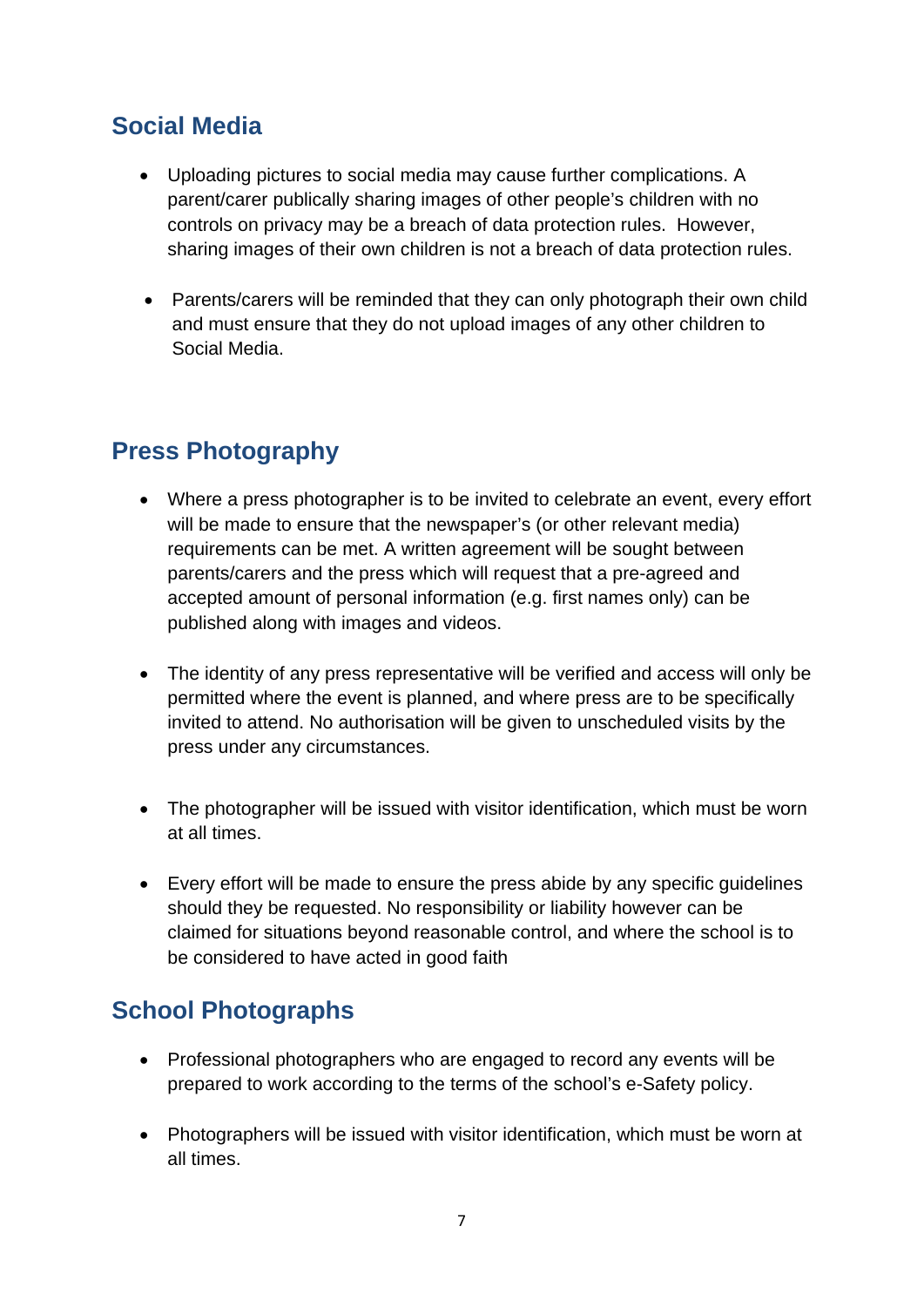# **Social Media**

- Uploading pictures to social media may cause further complications. A parent/carer publically sharing images of other people's children with no controls on privacy may be a breach of data protection rules. However, sharing images of their own children is not a breach of data protection rules.
- Parents/carers will be reminded that they can only photograph their own child and must ensure that they do not upload images of any other children to Social Media.

# **Press Photography**

- Where a press photographer is to be invited to celebrate an event, every effort will be made to ensure that the newspaper's (or other relevant media) requirements can be met. A written agreement will be sought between parents/carers and the press which will request that a pre-agreed and accepted amount of personal information (e.g. first names only) can be published along with images and videos.
- The identity of any press representative will be verified and access will only be permitted where the event is planned, and where press are to be specifically invited to attend. No authorisation will be given to unscheduled visits by the press under any circumstances.
- The photographer will be issued with visitor identification, which must be worn at all times.
- Every effort will be made to ensure the press abide by any specific guidelines should they be requested. No responsibility or liability however can be claimed for situations beyond reasonable control, and where the school is to be considered to have acted in good faith

# **School Photographs**

- Professional photographers who are engaged to record any events will be prepared to work according to the terms of the school's e-Safety policy.
- Photographers will be issued with visitor identification, which must be worn at all times.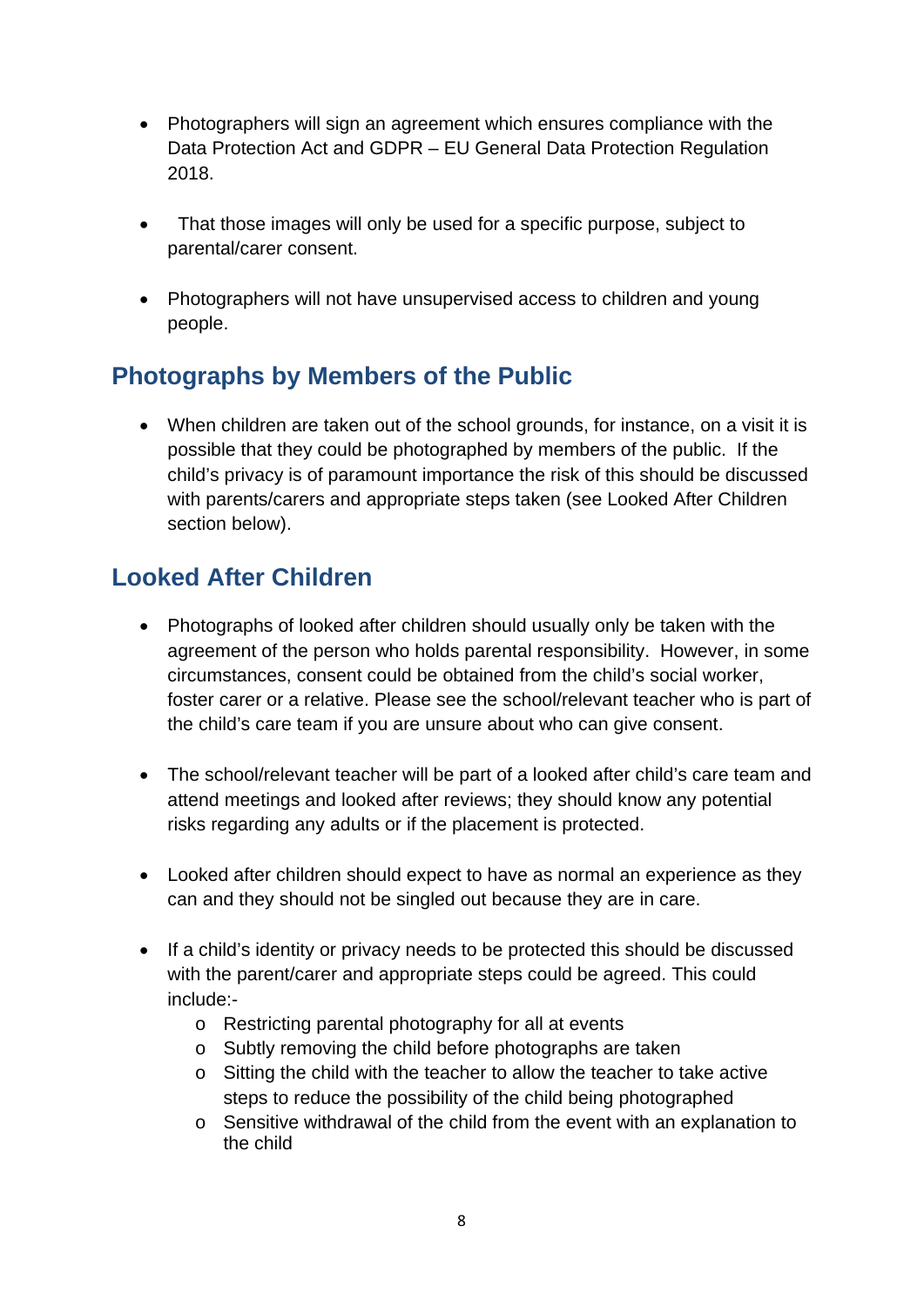- Photographers will sign an agreement which ensures compliance with the Data Protection Act and GDPR – EU General Data Protection Regulation 2018.
- That those images will only be used for a specific purpose, subject to parental/carer consent.
- Photographers will not have unsupervised access to children and young people.

# **Photographs by Members of the Public**

 When children are taken out of the school grounds, for instance, on a visit it is possible that they could be photographed by members of the public. If the child's privacy is of paramount importance the risk of this should be discussed with parents/carers and appropriate steps taken (see Looked After Children section below).

# **Looked After Children**

- Photographs of looked after children should usually only be taken with the agreement of the person who holds parental responsibility. However, in some circumstances, consent could be obtained from the child's social worker, foster carer or a relative. Please see the school/relevant teacher who is part of the child's care team if you are unsure about who can give consent.
- The school/relevant teacher will be part of a looked after child's care team and attend meetings and looked after reviews; they should know any potential risks regarding any adults or if the placement is protected.
- Looked after children should expect to have as normal an experience as they can and they should not be singled out because they are in care.
- If a child's identity or privacy needs to be protected this should be discussed with the parent/carer and appropriate steps could be agreed. This could include:
	- o Restricting parental photography for all at events
	- o Subtly removing the child before photographs are taken
	- o Sitting the child with the teacher to allow the teacher to take active steps to reduce the possibility of the child being photographed
	- o Sensitive withdrawal of the child from the event with an explanation to the child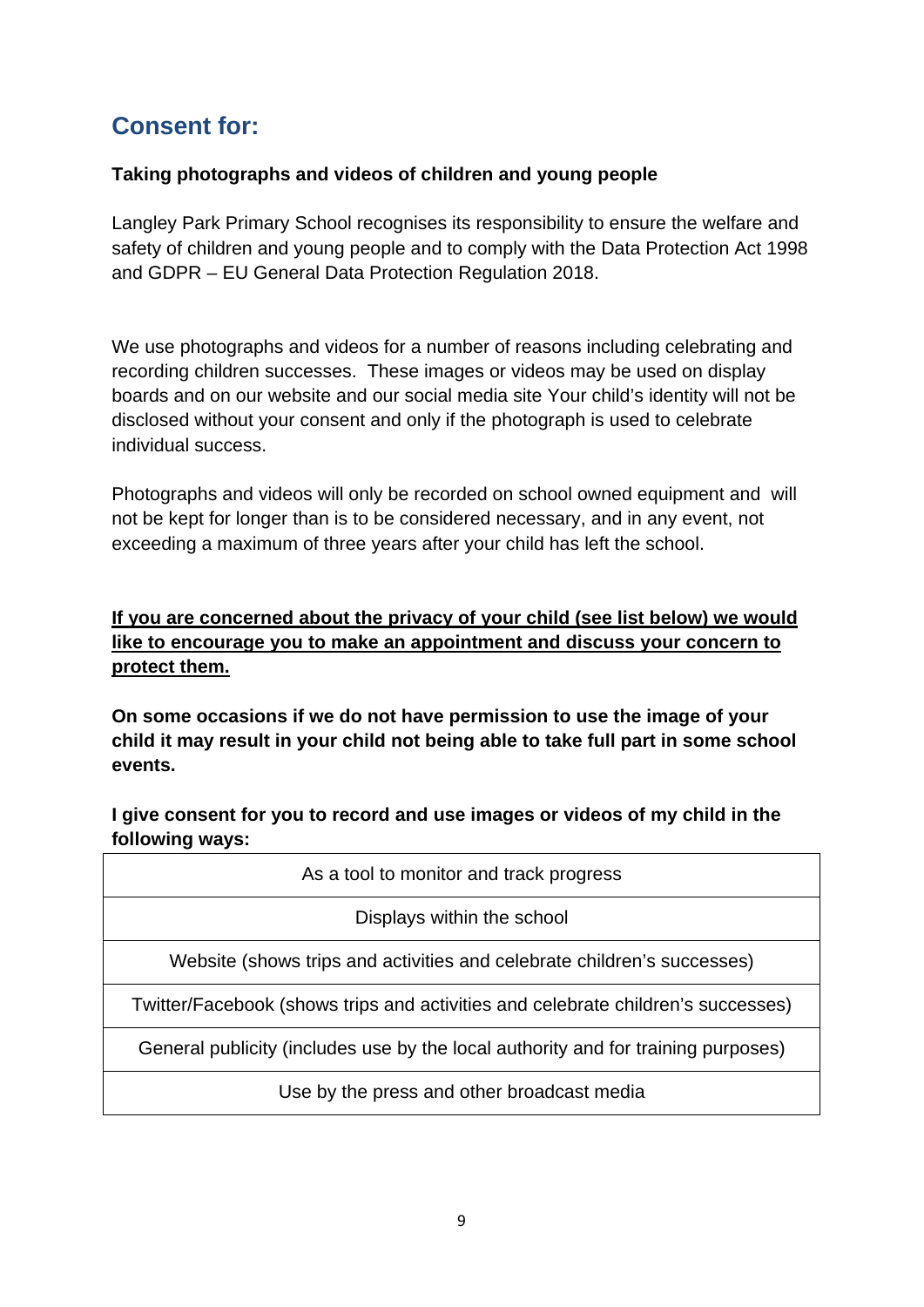# **Consent for:**

#### **Taking photographs and videos of children and young people**

Langley Park Primary School recognises its responsibility to ensure the welfare and safety of children and young people and to comply with the Data Protection Act 1998 and GDPR – EU General Data Protection Regulation 2018.

We use photographs and videos for a number of reasons including celebrating and recording children successes. These images or videos may be used on display boards and on our website and our social media site Your child's identity will not be disclosed without your consent and only if the photograph is used to celebrate individual success.

Photographs and videos will only be recorded on school owned equipment and will not be kept for longer than is to be considered necessary, and in any event, not exceeding a maximum of three years after your child has left the school.

#### **If you are concerned about the privacy of your child (see list below) we would like to encourage you to make an appointment and discuss your concern to protect them.**

**On some occasions if we do not have permission to use the image of your child it may result in your child not being able to take full part in some school events.**

**I give consent for you to record and use images or videos of my child in the following ways:**